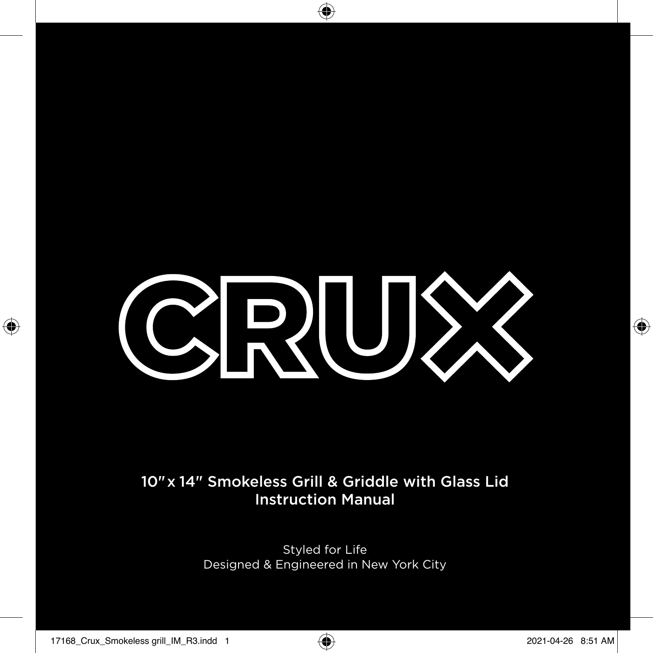

FROM COVER COVER COVER

## 10"x 14" Smokeless Grill & Griddle with Glass Lid Instruction Manual

Styled for Life Designed & Engineered in New York City

17168\_Crux\_Smokeless grill\_IM\_R3.indd 1 2021-04-26 8:51 AM

 $\bigoplus$ 

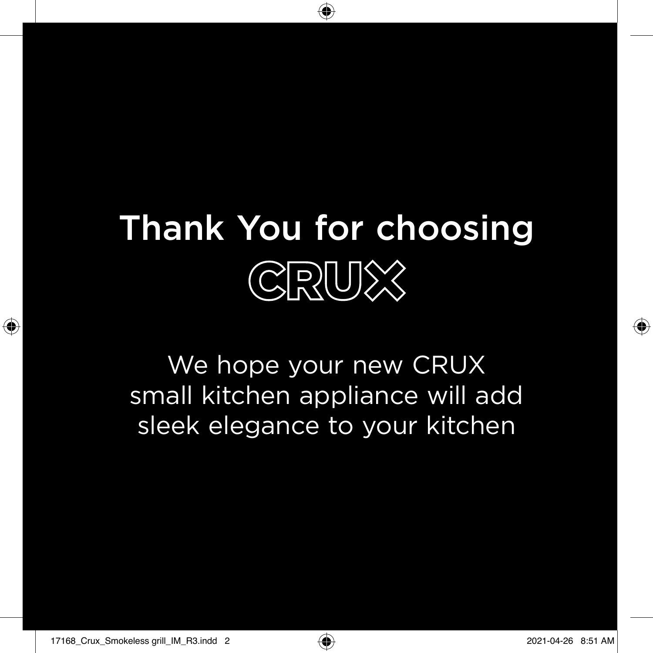# Thank You for choosing CRUX

**THANK YOU CARD - instance Coverage** 

We hope your new CRUX small kitchen appliance will add sleek elegance to your kitchen

 $\bigoplus$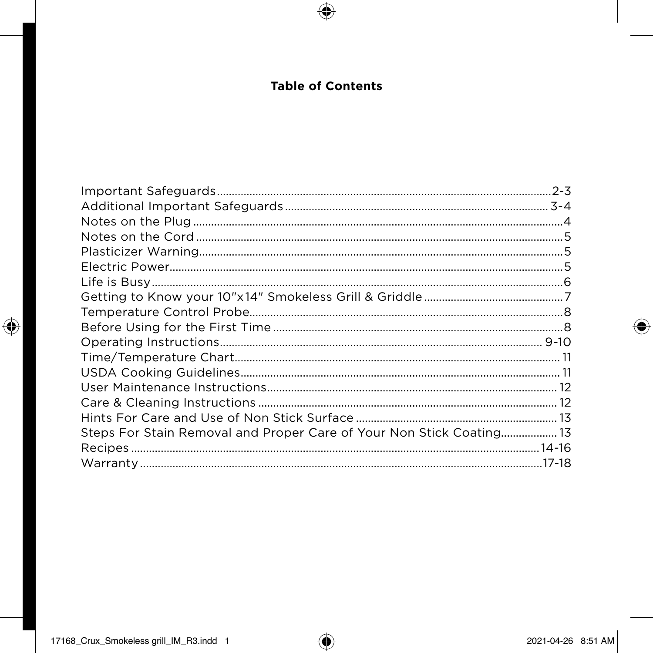#### **Table of Contents**

 $\bigoplus$ 

| Steps For Stain Removal and Proper Care of Your Non Stick Coating 13 |  |
|----------------------------------------------------------------------|--|
|                                                                      |  |
|                                                                      |  |

 $\bigoplus$ 

 $\bigoplus$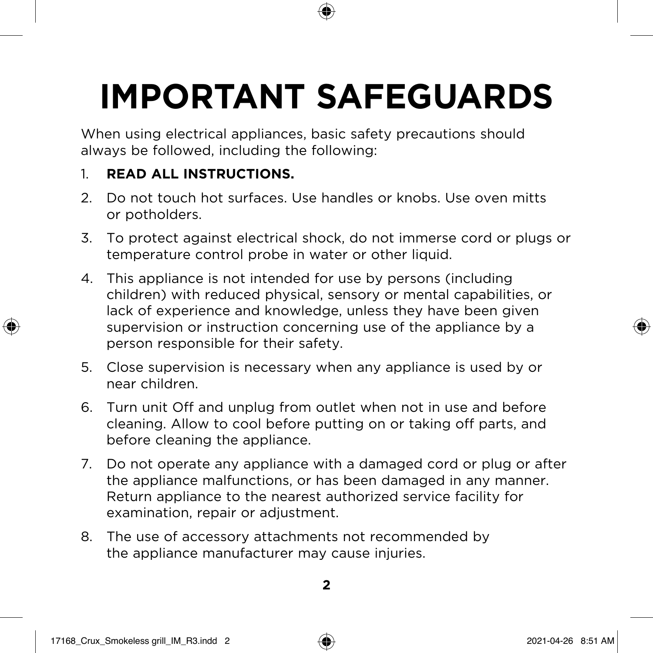## **IMPORTANT SAFEGUARDS**

⊕

When using electrical appliances, basic safety precautions should always be followed, including the following:

#### 1. **READ ALL INSTRUCTIONS.**

- 2. Do not touch hot surfaces. Use handles or knobs. Use oven mitts. or potholders.
- 3. To protect against electrical shock, do not immerse cord or plugs or temperature control probe in water or other liquid.
- 4. This appliance is not intended for use by persons (including children) with reduced physical, sensory or mental capabilities, or lack of experience and knowledge, unless they have been given supervision or instruction concerning use of the appliance by a person responsible for their safety.
- 5. Close supervision is necessary when any appliance is used by or near children.
- 6. Turn unit Off and unplug from outlet when not in use and before cleaning. Allow to cool before putting on or taking off parts, and before cleaning the appliance.
- 7. Do not operate any appliance with a damaged cord or plug or after the appliance malfunctions, or has been damaged in any manner. Return appliance to the nearest authorized service facility for examination, repair or adjustment.
- 8. The use of accessory attachments not recommended by the appliance manufacturer may cause injuries.

⊕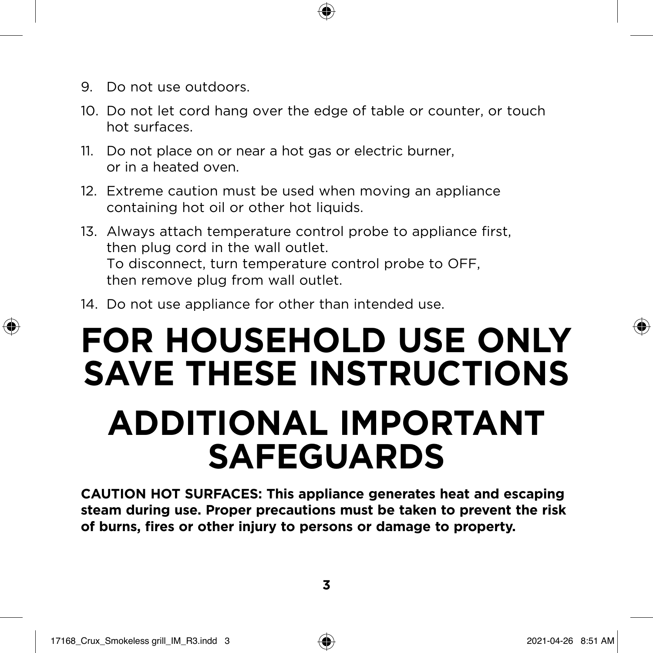- 9. Do not use outdoors.
- 10. Do not let cord hang over the edge of table or counter, or touch hot surfaces.

⊕

- 11. Do not place on or near a hot gas or electric burner, or in a heated oven.
- 12. Extreme caution must be used when moving an appliance containing hot oil or other hot liquids.
- 13. Always attach temperature control probe to appliance first, then plug cord in the wall outlet. To disconnect, turn temperature control probe to OFF, then remove plug from wall outlet.
- 14. Do not use appliance for other than intended use.

## **FOR HOUSEHOLD USE ONLY SAVE THESE INSTRUCTIONS ADDITIONAL IMPORTANT SAFEGUARDS**

**CAUTION HOT SURFACES: This appliance generates heat and escaping steam during use. Proper precautions must be taken to prevent the risk of burns, fires or other injury to persons or damage to property.** 

**3**

⊕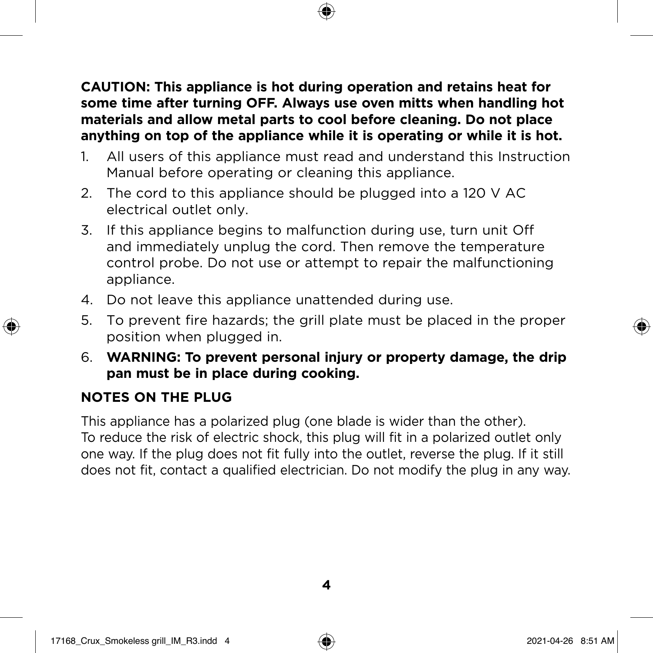**CAUTION: This appliance is hot during operation and retains heat for some time after turning OFF. Always use oven mitts when handling hot materials and allow metal parts to cool before cleaning. Do not place anything on top of the appliance while it is operating or while it is hot.** 

⊕

- 1. All users of this appliance must read and understand this Instruction Manual before operating or cleaning this appliance.
- 2. The cord to this appliance should be plugged into a 120 V AC electrical outlet only.
- 3. If this appliance begins to malfunction during use, turn unit Off and immediately unplug the cord. Then remove the temperature control probe. Do not use or attempt to repair the malfunctioning appliance.
- 4. Do not leave this appliance unattended during use.
- 5. To prevent fire hazards; the grill plate must be placed in the proper position when plugged in.
- 6. **WARNING: To prevent personal injury or property damage, the drip pan must be in place during cooking.**

#### **NOTES ON THE PLUG**

⊕

This appliance has a polarized plug (one blade is wider than the other). To reduce the risk of electric shock, this plug will fit in a polarized outlet only one way. If the plug does not fit fully into the outlet, reverse the plug. If it still does not fit, contact a qualified electrician. Do not modify the plug in any way.

**4**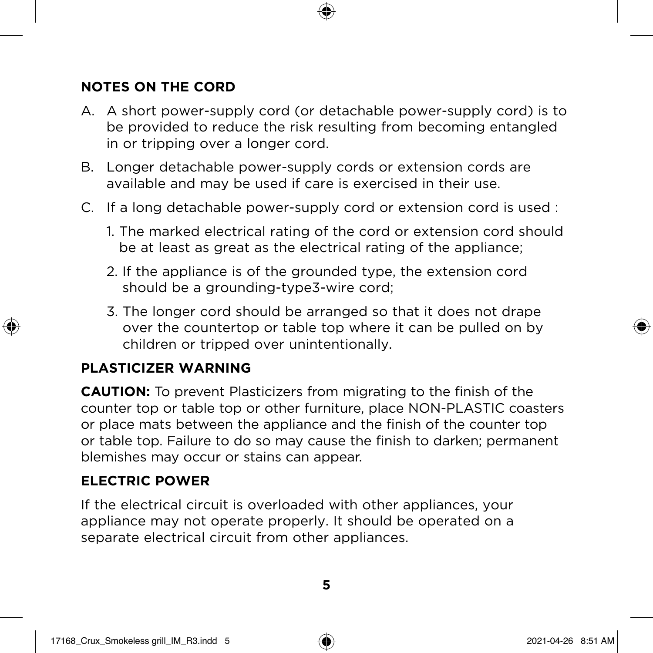#### **NOTES ON THE CORD**

- A. A short power-supply cord (or detachable power-supply cord) is to be provided to reduce the risk resulting from becoming entangled in or tripping over a longer cord.
- B. Longer detachable power-supply cords or extension cords are available and may be used if care is exercised in their use.
- C. If a long detachable power-supply cord or extension cord is used :
	- 1. The marked electrical rating of the cord or extension cord should be at least as great as the electrical rating of the appliance;
	- 2. If the appliance is of the grounded type, the extension cord should be a grounding-type3-wire cord;
	- 3. The longer cord should be arranged so that it does not drape over the countertop or table top where it can be pulled on by children or tripped over unintentionally.

#### **PLASTICIZER WARNING**

⊕

**CAUTION:** To prevent Plasticizers from migrating to the finish of the counter top or table top or other furniture, place NON-PLASTIC coasters or place mats between the appliance and the finish of the counter top or table top. Failure to do so may cause the finish to darken; permanent blemishes may occur or stains can appear.

#### **ELECTRIC POWER**

If the electrical circuit is overloaded with other appliances, your appliance may not operate properly. It should be operated on a separate electrical circuit from other appliances.

**5**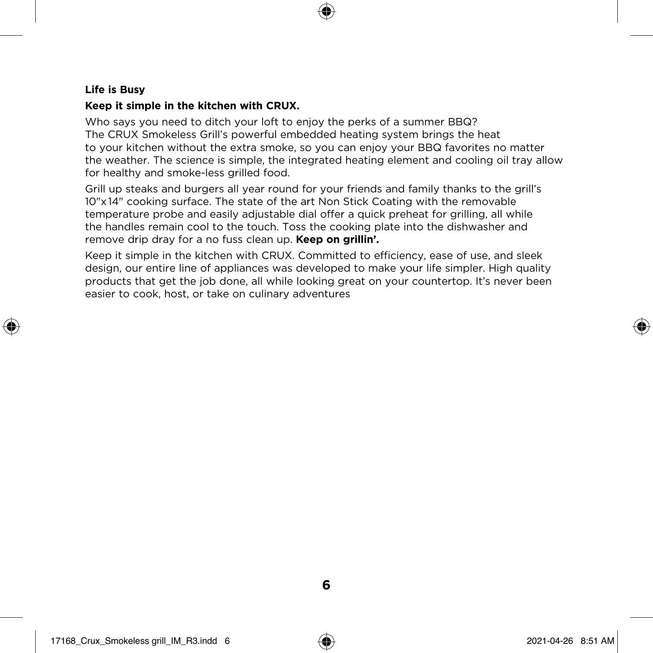#### **Life is Busy**

♠

#### **Keep it simple in the kitchen with CRUX.**

Who says you need to ditch your loft to enjoy the perks of a summer BBQ? The CRUX Smokeless Grill's powerful embedded heating system brings the heat to your kitchen without the extra smoke, so you can enjoy your BBQ favorites no matter the weather. The science is simple, the integrated heating element and cooling oil tray allow for healthy and smoke-less grilled food.

Grill up steaks and burgers all year round for your friends and family thanks to the grill's 10"x14" cooking surface. The state of the art Non Stick Coating with the removable temperature probe and easily adjustable dial offer a quick preheat for grilling, all while the handles remain cool to the touch. Toss the cooking plate into the dishwasher and remove drip dray for a no fuss clean up. **Keep on grillin'.**

Keep it simple in the kitchen with CRUX. Committed to efficiency, ease of use, and sleek design, our entire line of appliances was developed to make your life simpler. High quality products that get the job done, all while looking great on your countertop. It's never been easier to cook, host, or take on culinary adventures

**6**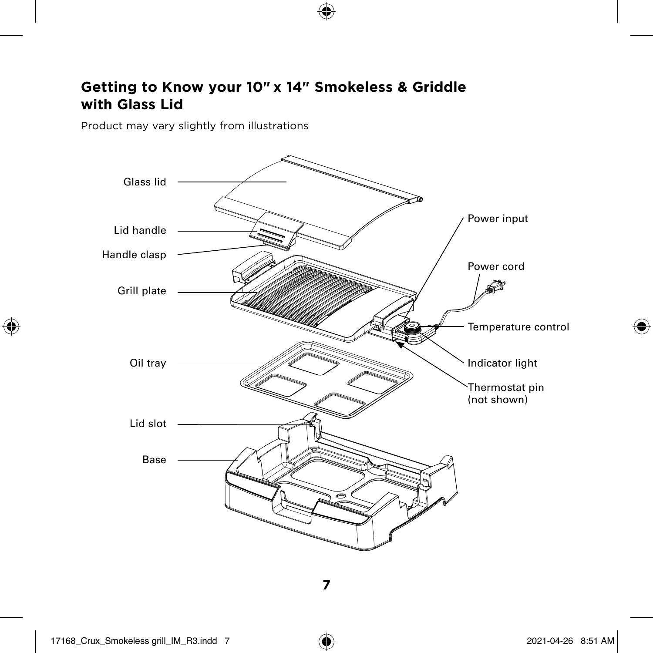#### **Getting to Know your 10" x 14" Smokeless & Griddle with Glass Lid**

 $\bigoplus$ 

Product may vary slightly from illustrations



 $\bigoplus$ 

 $\bigoplus$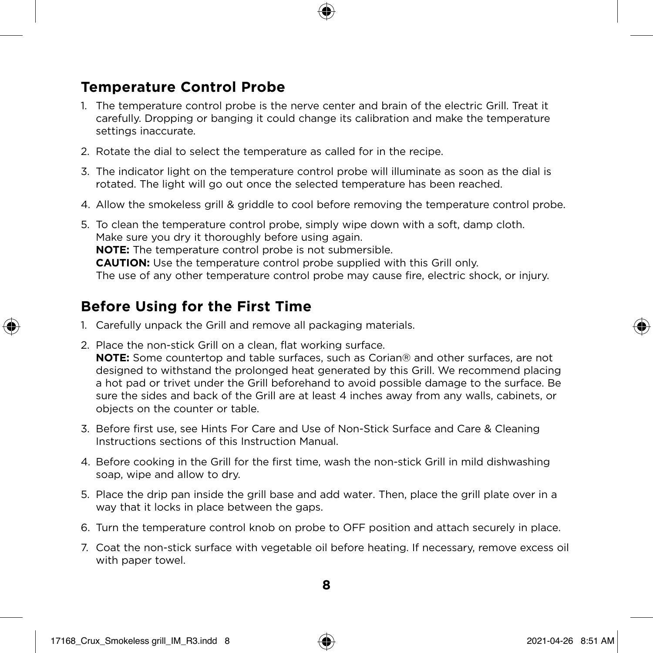

- 1. The temperature control probe is the nerve center and brain of the electric Grill. Treat it carefully. Dropping or banging it could change its calibration and make the temperature settings inaccurate.
- 2. Rotate the dial to select the temperature as called for in the recipe.
- 3. The indicator light on the temperature control probe will illuminate as soon as the dial is rotated. The light will go out once the selected temperature has been reached.
- 4. Allow the smokeless grill & griddle to cool before removing the temperature control probe.
- 5. To clean the temperature control probe, simply wipe down with a soft, damp cloth. Make sure you dry it thoroughly before using again. **NOTE:** The temperature control probe is not submersible. **CAUTION:** Use the temperature control probe supplied with this Grill only. The use of any other temperature control probe may cause fire, electric shock, or injury.

#### **Before Using for the First Time**

⊕

- 1. Carefully unpack the Grill and remove all packaging materials.
- 2. Place the non-stick Grill on a clean, flat working surface.

**NOTE:** Some countertop and table surfaces, such as Corian® and other surfaces, are not designed to withstand the prolonged heat generated by this Grill. We recommend placing a hot pad or trivet under the Grill beforehand to avoid possible damage to the surface. Be sure the sides and back of the Grill are at least 4 inches away from any walls, cabinets, or objects on the counter or table.

- 3. Before first use, see Hints For Care and Use of Non-Stick Surface and Care & Cleaning Instructions sections of this Instruction Manual.
- 4. Before cooking in the Grill for the first time, wash the non-stick Grill in mild dishwashing soap, wipe and allow to dry.
- 5. Place the drip pan inside the grill base and add water. Then, place the grill plate over in a way that it locks in place between the gaps.
- 6. Turn the temperature control knob on probe to OFF position and attach securely in place.
- 7. Coat the non-stick surface with vegetable oil before heating. If necessary, remove excess oil with paper towel.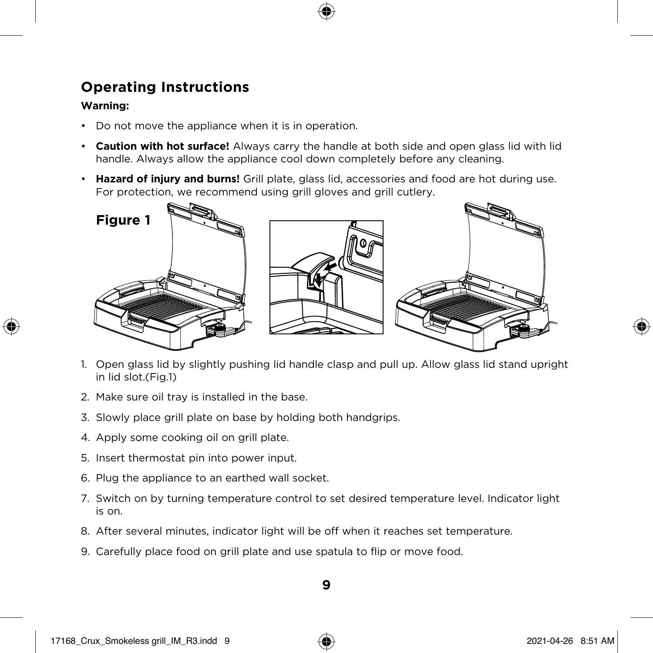#### **Operating Instructions**

#### **Warning:**

**Figure 1**

₩

- Do not move the appliance when it is in operation.
- **Caution with hot surface!** Always carry the handle at both side and open glass lid with lid handle. Always allow the appliance cool down completely before any cleaning.
- **Hazard of injury and burns!** Grill plate, glass lid, accessories and food are hot during use. For protection, we recommend using grill gloves and grill cutlery.



- 1. Open glass lid by slightly pushing lid handle clasp and pull up. Allow glass lid stand upright in lid slot.(Fig.1)
- 2. Make sure oil tray is installed in the base.
- 3. Slowly place grill plate on base by holding both handgrips.
- 4. Apply some cooking oil on grill plate.
- 5. Insert thermostat pin into power input.
- 6. Plug the appliance to an earthed wall socket.
- 7. Switch on by turning temperature control to set desired temperature level. Indicator light is on.
- 8. After several minutes, indicator light will be off when it reaches set temperature.
- 9. Carefully place food on grill plate and use spatula to flip or move food.

17168\_Crux\_Smokeless grill\_IM\_R3.indd 9 2021-04-26 8:51 AM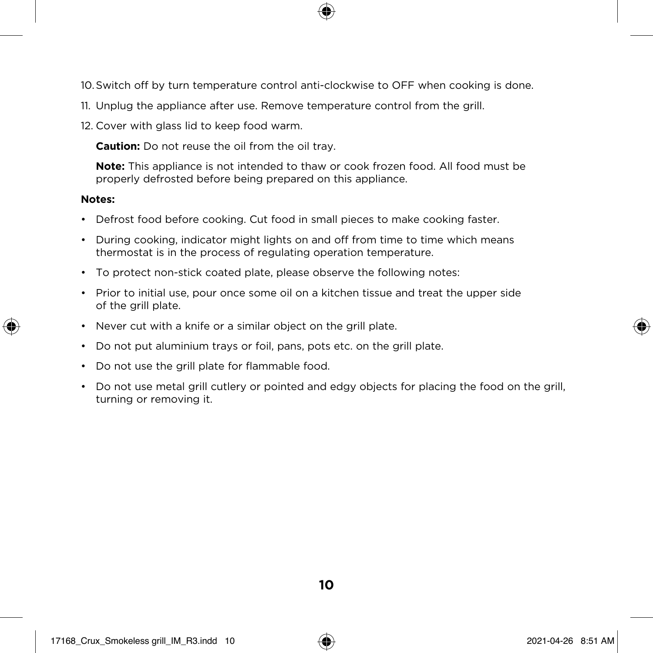- 10.Switch off by turn temperature control anti-clockwise to OFF when cooking is done.
- 11. Unplug the appliance after use. Remove temperature control from the grill.
- 12. Cover with glass lid to keep food warm.

**Caution:** Do not reuse the oil from the oil tray.

**Note:** This appliance is not intended to thaw or cook frozen food. All food must be properly defrosted before being prepared on this appliance.

#### **Notes:**

- Defrost food before cooking. Cut food in small pieces to make cooking faster.
- During cooking, indicator might lights on and off from time to time which means thermostat is in the process of regulating operation temperature.
- To protect non-stick coated plate, please observe the following notes:
- Prior to initial use, pour once some oil on a kitchen tissue and treat the upper side of the grill plate.
- Never cut with a knife or a similar object on the grill plate.
- Do not put aluminium trays or foil, pans, pots etc. on the grill plate.
- Do not use the grill plate for flammable food.
- Do not use metal grill cutlery or pointed and edgy objects for placing the food on the grill, turning or removing it.

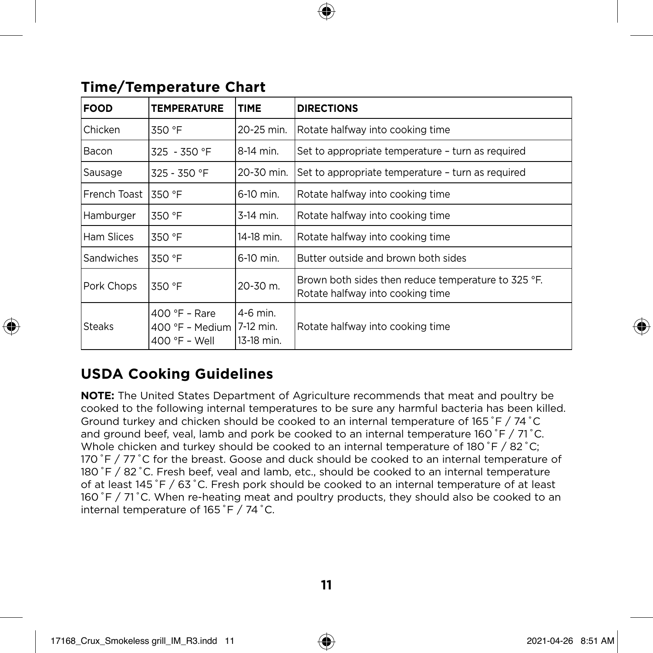

Hamburger  $\left|350\right\rangle$   $\left|5\right\rangle$  3-14 min. Rotate halfway into cooking time Ham Slices  $350 °F$  14-18 min. Rotate halfway into cooking time Sandwiches  $\frac{1}{350}$  °F 6-10 min. Butter outside and brown both sides

> 4-6 min. 13-18 min.

#### **Time/Temperature Chart**

#### **USDA Cooking Guidelines**

400 °F – Rare

400 °F – Well

400 °F – Medium 7-12 min.

**NOTE:** The United States Department of Agriculture recommends that meat and poultry be cooked to the following internal temperatures to be sure any harmful bacteria has been killed. Ground turkey and chicken should be cooked to an internal temperature of 165˚F / 74˚C and ground beef, veal, lamb and pork be cooked to an internal temperature 160 $\degree$ F / 71 $\degree$ C. Whole chicken and turkey should be cooked to an internal temperature of 180 °F / 82 °C; 170 °F / 77 °C for the breast. Goose and duck should be cooked to an internal temperature of 180˚F / 82˚C. Fresh beef, veal and lamb, etc., should be cooked to an internal temperature of at least 145˚F / 63˚C. Fresh pork should be cooked to an internal temperature of at least 160˚F / 71˚C. When re-heating meat and poultry products, they should also be cooked to an internal temperature of 165˚F / 74˚C.

Pork Chops 350 °F 20-30 m. Brown both sides then reduce temperature to 325 °F.

Rotate halfway into cooking time

Rotate halfway into cooking time



**Steaks** 

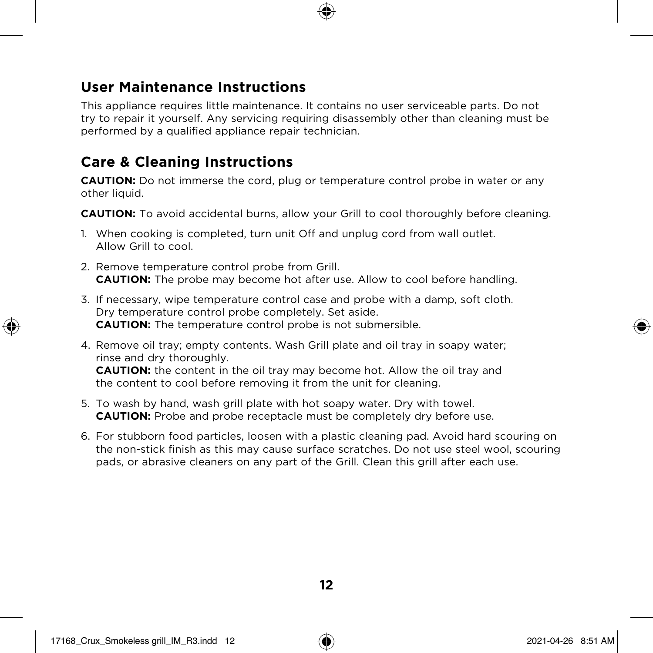

This appliance requires little maintenance. It contains no user serviceable parts. Do not try to repair it yourself. Any servicing requiring disassembly other than cleaning must be performed by a qualified appliance repair technician.

#### **Care & Cleaning Instructions**

**CAUTION:** Do not immerse the cord, plug or temperature control probe in water or any other liquid.

**CAUTION:** To avoid accidental burns, allow your Grill to cool thoroughly before cleaning.

- 1. When cooking is completed, turn unit Off and unplug cord from wall outlet. Allow Grill to cool.
- 2. Remove temperature control probe from Grill. **CAUTION:** The probe may become hot after use. Allow to cool before handling.
- 3. If necessary, wipe temperature control case and probe with a damp, soft cloth. Dry temperature control probe completely. Set aside. **CAUTION:** The temperature control probe is not submersible.
- 4. Remove oil tray; empty contents. Wash Grill plate and oil tray in soapy water; rinse and dry thoroughly. **CAUTION:** the content in the oil tray may become hot. Allow the oil tray and the content to cool before removing it from the unit for cleaning.
- 5. To wash by hand, wash grill plate with hot soapy water. Dry with towel. **CAUTION:** Probe and probe receptacle must be completely dry before use.
- 6. For stubborn food particles, loosen with a plastic cleaning pad. Avoid hard scouring on the non-stick finish as this may cause surface scratches. Do not use steel wool, scouring pads, or abrasive cleaners on any part of the Grill. Clean this grill after each use.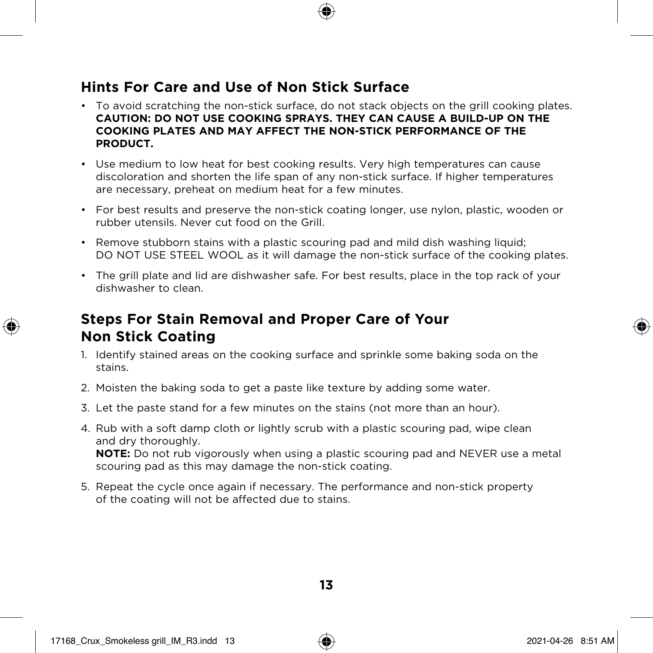#### **Hints For Care and Use of Non Stick Surface**

- To avoid scratching the non-stick surface, do not stack objects on the grill cooking plates. **CAUTION: DO NOT USE COOKING SPRAYS. THEY CAN CAUSE A BUILD-UP ON THE COOKING PLATES AND MAY AFFECT THE NON-STICK PERFORMANCE OF THE PRODUCT.**
- Use medium to low heat for best cooking results. Very high temperatures can cause discoloration and shorten the life span of any non-stick surface. If higher temperatures are necessary, preheat on medium heat for a few minutes.
- For best results and preserve the non-stick coating longer, use nylon, plastic, wooden or rubber utensils. Never cut food on the Grill.
- Remove stubborn stains with a plastic scouring pad and mild dish washing liquid; DO NOT USE STEEL WOOL as it will damage the non-stick surface of the cooking plates.
- The grill plate and lid are dishwasher safe. For best results, place in the top rack of your dishwasher to clean.

#### **Steps For Stain Removal and Proper Care of Your Non Stick Coating**

- 1. Identify stained areas on the cooking surface and sprinkle some baking soda on the stains.
- 2. Moisten the baking soda to get a paste like texture by adding some water.
- 3. Let the paste stand for a few minutes on the stains (not more than an hour).
- 4. Rub with a soft damp cloth or lightly scrub with a plastic scouring pad, wipe clean and dry thoroughly. **NOTE:** Do not rub vigorously when using a plastic scouring pad and NEVER use a metal scouring pad as this may damage the non-stick coating.
- 5. Repeat the cycle once again if necessary. The performance and non-stick property of the coating will not be affected due to stains.

**13**

♠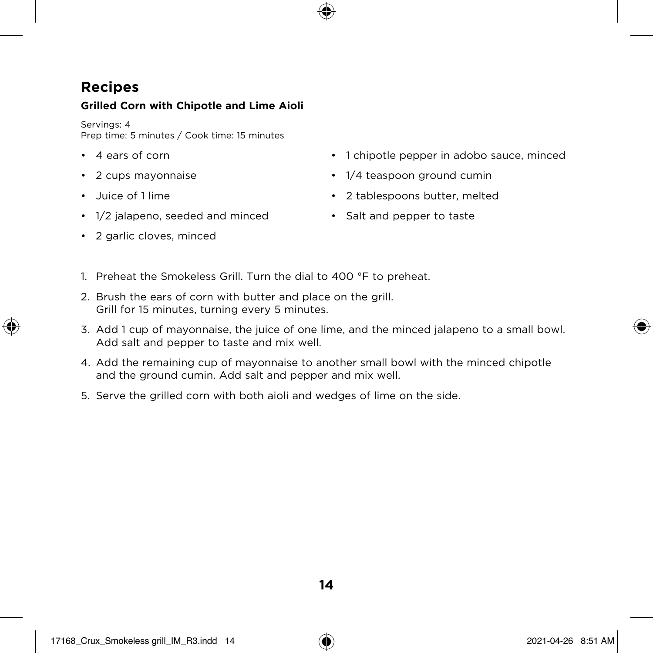

#### **Grilled Corn with Chipotle and Lime Aioli**

Servings: 4 Prep time: 5 minutes / Cook time: 15 minutes

- 4 ears of corn
- 2 cups mayonnaise
- Juice of 1 lime

- 1/2 jalapeno, seeded and minced
- 2 garlic cloves, minced
- 1 chipotle pepper in adobo sauce, minced
- 1/4 teaspoon ground cumin
- 2 tablespoons butter, melted
- Salt and pepper to taste
- 1. Preheat the Smokeless Grill. Turn the dial to 400 °F to preheat.
- 2. Brush the ears of corn with butter and place on the grill. Grill for 15 minutes, turning every 5 minutes.
- 3. Add 1 cup of mayonnaise, the juice of one lime, and the minced jalapeno to a small bowl. Add salt and pepper to taste and mix well.
- 4. Add the remaining cup of mayonnaise to another small bowl with the minced chipotle and the ground cumin. Add salt and pepper and mix well.
- 5. Serve the grilled corn with both aioli and wedges of lime on the side.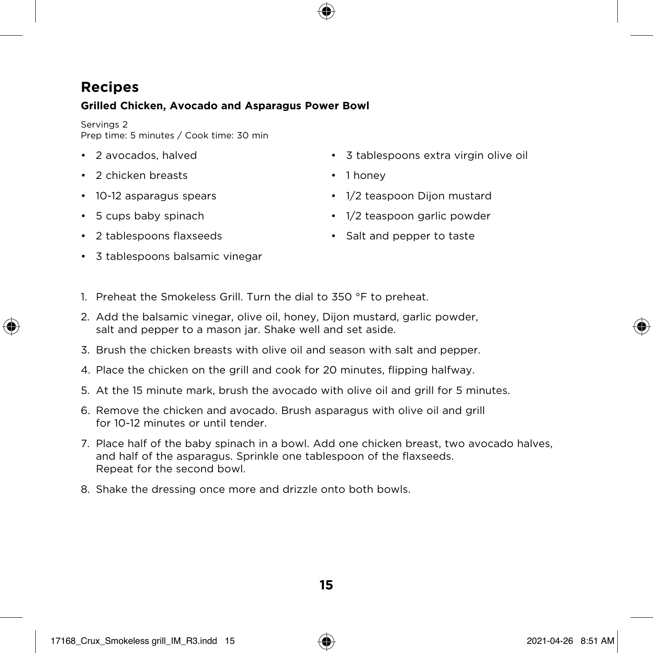#### **Recipes**

⊕

#### **Grilled Chicken, Avocado and Asparagus Power Bowl**

Servings 2 Prep time: 5 minutes / Cook time: 30 min

- 2 avocados, halved
- 2 chicken breasts
- 10-12 asparagus spears
- 5 cups baby spinach
- 3 tablespoons extra virgin olive oil
- 1 honey
- 1/2 teaspoon Dijon mustard
- 1/2 teaspoon garlic powder

- 2 tablespoons flaxseeds
- 3 tablespoons balsamic vinegar
- Salt and pepper to taste
- 1. Preheat the Smokeless Grill. Turn the dial to 350 °F to preheat.
- 2. Add the balsamic vinegar, olive oil, honey, Dijon mustard, garlic powder, salt and pepper to a mason jar. Shake well and set aside.
- 3. Brush the chicken breasts with olive oil and season with salt and pepper.
- 4. Place the chicken on the grill and cook for 20 minutes, flipping halfway.
- 5. At the 15 minute mark, brush the avocado with olive oil and grill for 5 minutes.
- 6. Remove the chicken and avocado. Brush asparagus with olive oil and grill for 10-12 minutes or until tender.
- 7. Place half of the baby spinach in a bowl. Add one chicken breast, two avocado halves, and half of the asparagus. Sprinkle one tablespoon of the flaxseeds. Repeat for the second bowl.
- 8. Shake the dressing once more and drizzle onto both bowls.

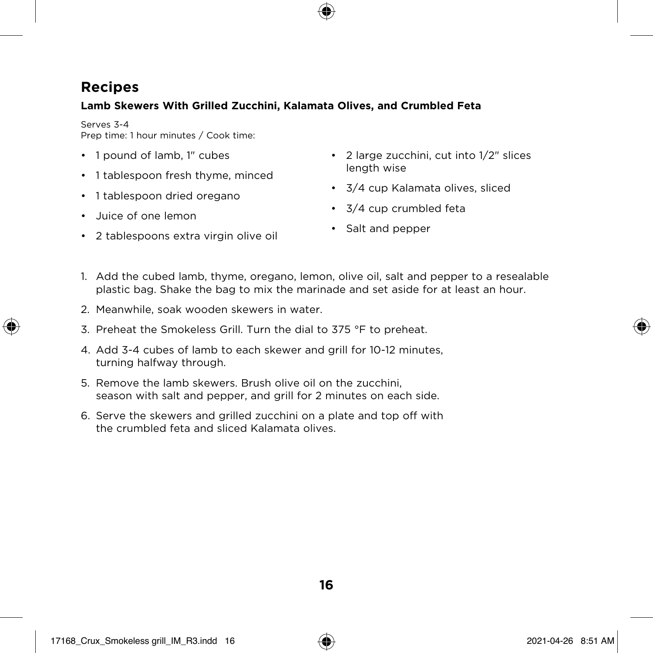#### **Recipes**

⊕

#### **Lamb Skewers With Grilled Zucchini, Kalamata Olives, and Crumbled Feta**

Serves 3-4 Prep time: 1 hour minutes / Cook time:

- 1 pound of lamb, 1" cubes
- 1 tablespoon fresh thyme, minced
- 1 tablespoon dried oregano
- Juice of one lemon
	-
- 2 tablespoons extra virgin olive oil
- 2 large zucchini, cut into 1/2" slices length wise
- 3/4 cup Kalamata olives, sliced
- 3/4 cup crumbled feta
- Salt and pepper
- 1. Add the cubed lamb, thyme, oregano, lemon, olive oil, salt and pepper to a resealable plastic bag. Shake the bag to mix the marinade and set aside for at least an hour.
- 2. Meanwhile, soak wooden skewers in water.
- 3. Preheat the Smokeless Grill. Turn the dial to 375 °F to preheat.
- 4. Add 3-4 cubes of lamb to each skewer and grill for 10-12 minutes, turning halfway through.
- 5. Remove the lamb skewers. Brush olive oil on the zucchini, season with salt and pepper, and grill for 2 minutes on each side.
- 6. Serve the skewers and grilled zucchini on a plate and top off with the crumbled feta and sliced Kalamata olives.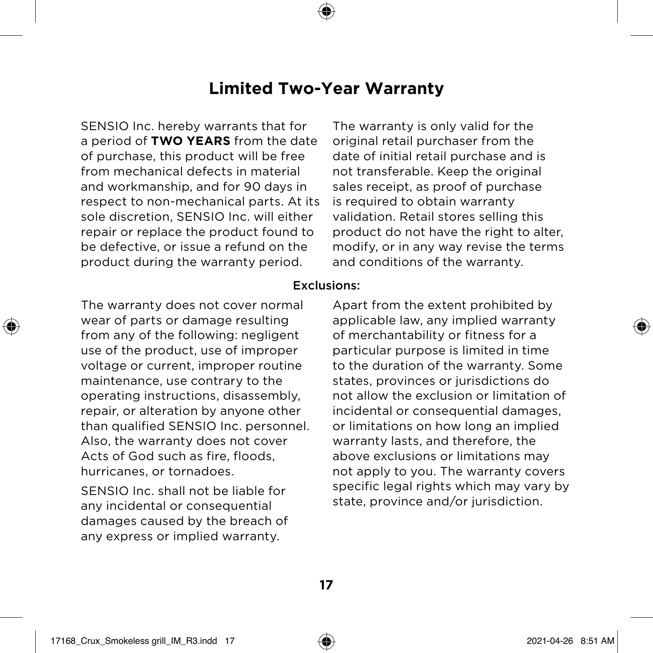#### **Limited Two-Year Warranty**

SENSIO Inc. hereby warrants that for a period of **TWO YEARS** from the date of purchase, this product will be free from mechanical defects in material and workmanship, and for 90 days in respect to non-mechanical parts. At its sole discretion, SENSIO Inc. will either repair or replace the product found to be defective, or issue a refund on the product during the warranty period.

The warranty is only valid for the original retail purchaser from the date of initial retail purchase and is not transferable. Keep the original sales receipt, as proof of purchase is required to obtain warranty validation. Retail stores selling this product do not have the right to alter, modify, or in any way revise the terms and conditions of the warranty.

#### Exclusions:

The warranty does not cover normal wear of parts or damage resulting from any of the following: negligent use of the product, use of improper voltage or current, improper routine maintenance, use contrary to the operating instructions, disassembly, repair, or alteration by anyone other than qualified SENSIO Inc. personnel. Also, the warranty does not cover Acts of God such as fire, floods, hurricanes, or tornadoes.

SENSIO Inc. shall not be liable for any incidental or consequential damages caused by the breach of any express or implied warranty.

Apart from the extent prohibited by applicable law, any implied warranty of merchantability or fitness for a particular purpose is limited in time to the duration of the warranty. Some states, provinces or jurisdictions do not allow the exclusion or limitation of incidental or consequential damages, or limitations on how long an implied warranty lasts, and therefore, the above exclusions or limitations may not apply to you. The warranty covers specific legal rights which may vary by state, province and/or jurisdiction.

**17**

♠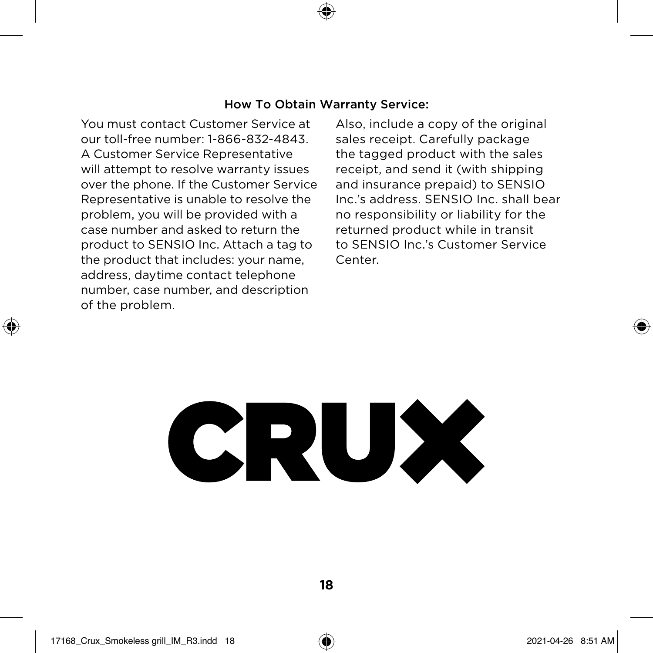#### How To Obtain Warranty Service:

⊕

You must contact Customer Service at our toll-free number: 1-866-832-4843. A Customer Service Representative will attempt to resolve warranty issues over the phone. If the Customer Service Representative is unable to resolve the problem, you will be provided with a case number and asked to return the product to SENSIO Inc. Attach a tag to the product that includes: your name, address, daytime contact telephone number, case number, and description of the problem.

Also, include a copy of the original sales receipt. Carefully package the tagged product with the sales receipt, and send it (with shipping and insurance prepaid) to SENSIO Inc.'s address. SENSIO Inc. shall bear no responsibility or liability for the returned product while in transit to SENSIO Inc.'s Customer Service Center.

# CRUX

**18**

⊕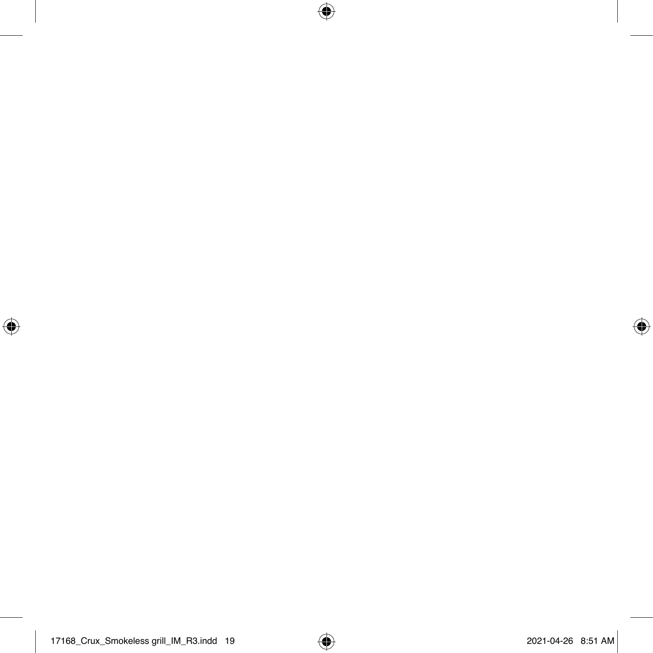

17168\_Crux\_Smokeless grill\_IM\_R3.indd 19 2021-04-26 8:51 AM

 $\bigoplus$ 

 $\bigoplus$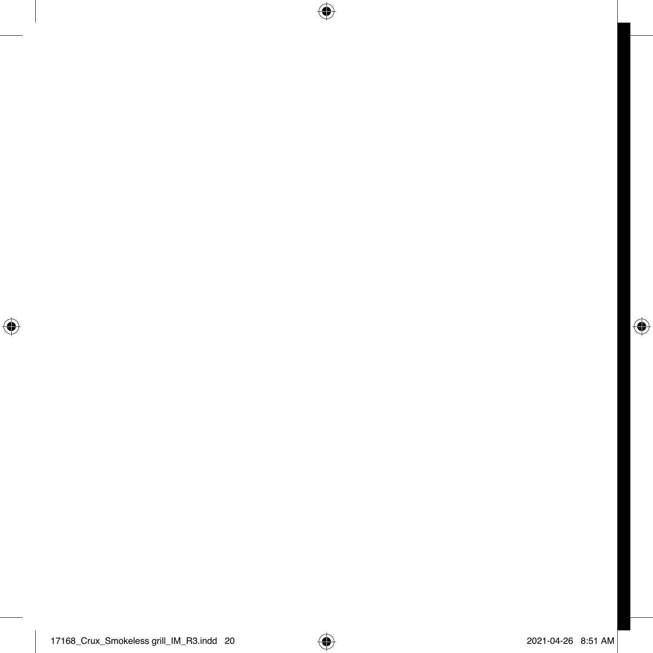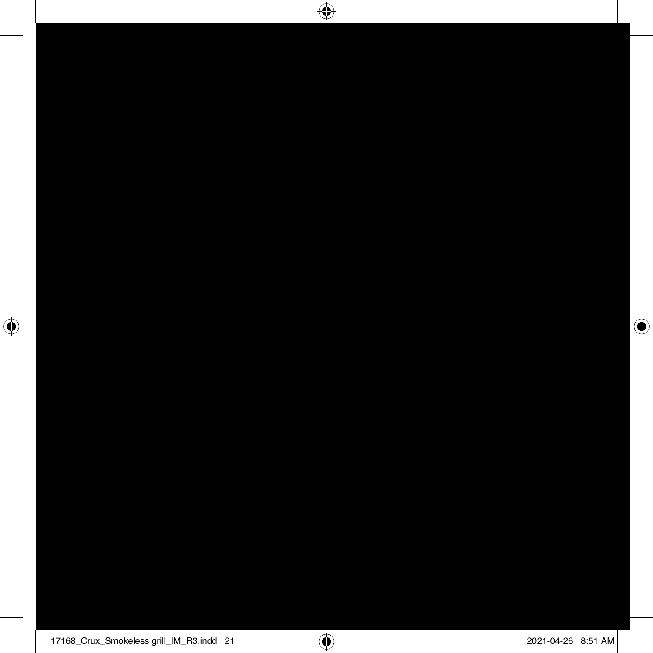